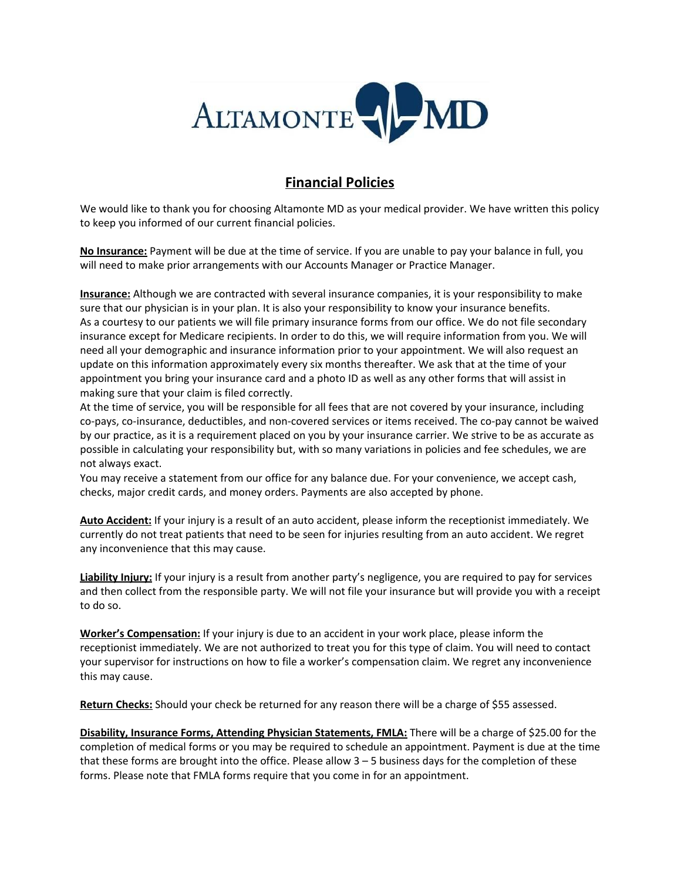

## **Financial Policies**

We would like to thank you for choosing Altamonte MD as your medical provider. We have written this policy to keep you informed of our current financial policies.

**No Insurance:** Payment will be due at the time of service. If you are unable to pay your balance in full, you will need to make prior arrangements with our Accounts Manager or Practice Manager.

**Insurance:** Although we are contracted with several insurance companies, it is your responsibility to make sure that our physician is in your plan. It is also your responsibility to know your insurance benefits. As a courtesy to our patients we will file primary insurance forms from our office. We do not file secondary insurance except for Medicare recipients. In order to do this, we will require information from you. We will need all your demographic and insurance information prior to your appointment. We will also request an update on this information approximately every six months thereafter. We ask that at the time of your appointment you bring your insurance card and a photo ID as well as any other forms that will assist in making sure that your claim is filed correctly.

At the time of service, you will be responsible for all fees that are not covered by your insurance, including co-pays, co-insurance, deductibles, and non-covered services or items received. The co-pay cannot be waived by our practice, as it is a requirement placed on you by your insurance carrier. We strive to be as accurate as possible in calculating your responsibility but, with so many variations in policies and fee schedules, we are not always exact.

You may receive a statement from our office for any balance due. For your convenience, we accept cash, checks, major credit cards, and money orders. Payments are also accepted by phone.

**Auto Accident:** If your injury is a result of an auto accident, please inform the receptionist immediately. We currently do not treat patients that need to be seen for injuries resulting from an auto accident. We regret any inconvenience that this may cause.

**Liability Injury:** If your injury is a result from another party's negligence, you are required to pay for services and then collect from the responsible party. We will not file your insurance but will provide you with a receipt to do so.

**Worker's Compensation:** If your injury is due to an accident in your work place, please inform the receptionist immediately. We are not authorized to treat you for this type of claim. You will need to contact your supervisor for instructions on how to file a worker's compensation claim. We regret any inconvenience this may cause.

**Return Checks:** Should your check be returned for any reason there will be a charge of \$55 assessed.

**Disability, Insurance Forms, Attending Physician Statements, FMLA:** There will be a charge of \$25.00 for the completion of medical forms or you may be required to schedule an appointment. Payment is due at the time that these forms are brought into the office. Please allow  $3 - 5$  business days for the completion of these forms. Please note that FMLA forms require that you come in for an appointment.